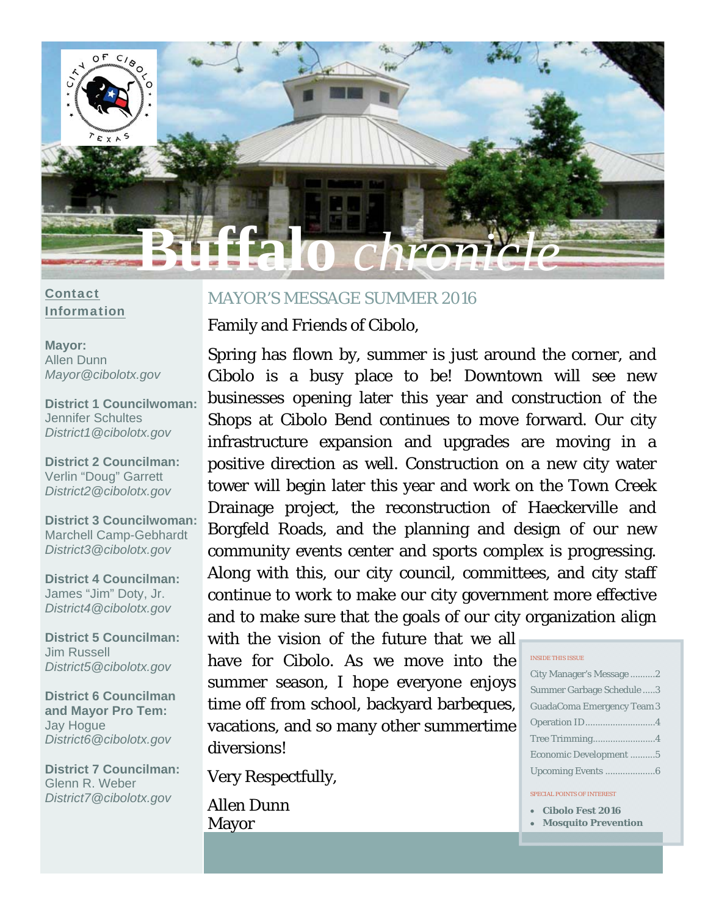

## **Contact** Information

**Mayor:**  Allen Dunn *Mayor@cibolotx.gov* 

**District 1 Councilwoman:**  Jennifer Schultes *District1@cibolotx.gov* 

**District 2 Councilman:**  Verlin "Doug" Garrett *District2@cibolotx.gov* 

**District 3 Councilwoman:**  Marchell Camp-Gebhardt *District3@cibolotx.gov* 

**District 4 Councilman:**  James "Jim" Doty, Jr. *District4@cibolotx.gov* 

**District 5 Councilman:**  Jim Russell *District5@cibolotx.gov* 

**District 6 Councilman and Mayor Pro Tem:**  Jay Hogue *District6@cibolotx.gov* 

**District 7 Councilman:**  Glenn R. Weber *District7@cibolotx.gov*

## MAYOR'S MESSAGE SUMMER 2016

Family and Friends of Cibolo,

Spring has flown by, summer is just around the corner, and Cibolo is a busy place to be! Downtown will see new businesses opening later this year and construction of the Shops at Cibolo Bend continues to move forward. Our city infrastructure expansion and upgrades are moving in a positive direction as well. Construction on a new city water tower will begin later this year and work on the Town Creek Drainage project, the reconstruction of Haeckerville and Borgfeld Roads, and the planning and design of our new community events center and sports complex is progressing. Along with this, our city council, committees, and city staff continue to work to make our city government more effective and to make sure that the goals of our city organization align

with the vision of the future that we all have for Cibolo. As we move into the summer season, I hope everyone enjoys time off from school, backyard barbeques, vacations, and so many other summertime diversions!

Very Respectfully,

Allen Dunn Mayor

|  | INSIDE THIS ISSUE |  |
|--|-------------------|--|
|  |                   |  |

| City Manager's Message2           |
|-----------------------------------|
| Summer Garbage Schedule 3         |
| <b>GuadaComa Emergency Team 3</b> |
|                                   |
| Tree Trimming4                    |
| Economic Development5             |
|                                   |

#### SPECIAL POINTS OF INTEREST

- **Cibolo Fest 2016**
- **Mosquito Prevention**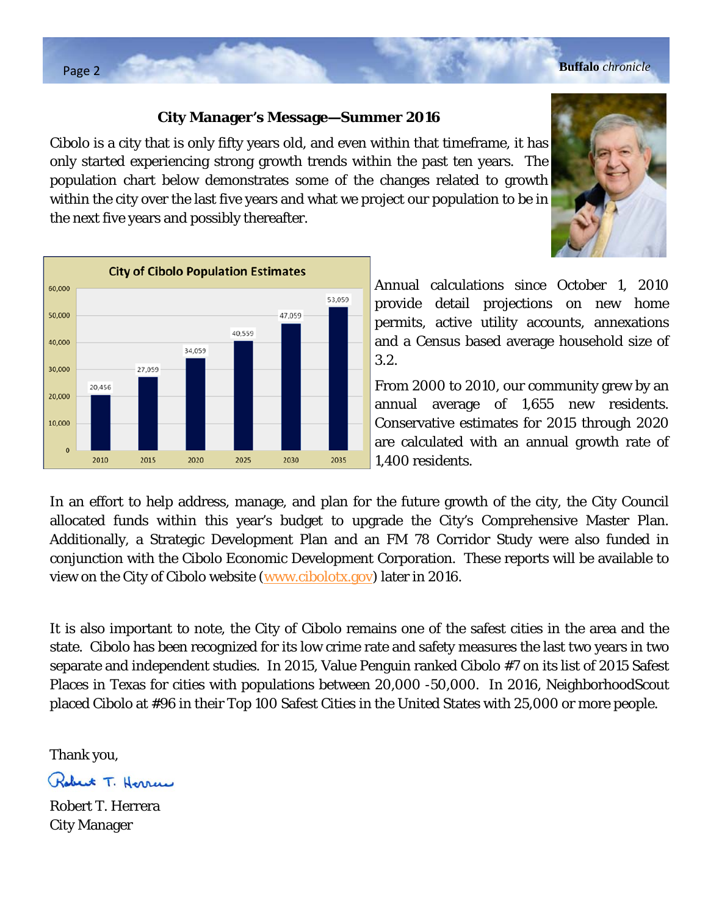## **City Manager's Message—Summer 2016**

Cibolo is a city that is only fifty years old, and even within that timeframe, it has only started experiencing strong growth trends within the past ten years. The population chart below demonstrates some of the changes related to growth within the city over the last five years and what we project our population to be in the next five years and possibly thereafter.



Annual calculations since October 1, 2010 provide detail projections on new home permits, active utility accounts, annexations and a Census based average household size of 3.2.

From 2000 to 2010, our community grew by an annual average of 1,655 new residents. Conservative estimates for 2015 through 2020 are calculated with an annual growth rate of 1,400 residents.

In an effort to help address, manage, and plan for the future growth of the city, the City Council allocated funds within this year's budget to upgrade the City's Comprehensive Master Plan. Additionally, a Strategic Development Plan and an FM 78 Corridor Study were also funded in conjunction with the Cibolo Economic Development Corporation. These reports will be available to view on the City of Cibolo website (www.cibolotx.gov) later in 2016.

It is also important to note, the City of Cibolo remains one of the safest cities in the area and the state. Cibolo has been recognized for its low crime rate and safety measures the last two years in two separate and independent studies. In 2015, Value Penguin ranked Cibolo #7 on its list of 2015 Safest Places in Texas for cities with populations between 20,000 -50,000. In 2016, NeighborhoodScout placed Cibolo at #96 in their Top 100 Safest Cities in the United States with 25,000 or more people.

Thank you,

Robert T. Herren

Robert T. Herrera City Manager

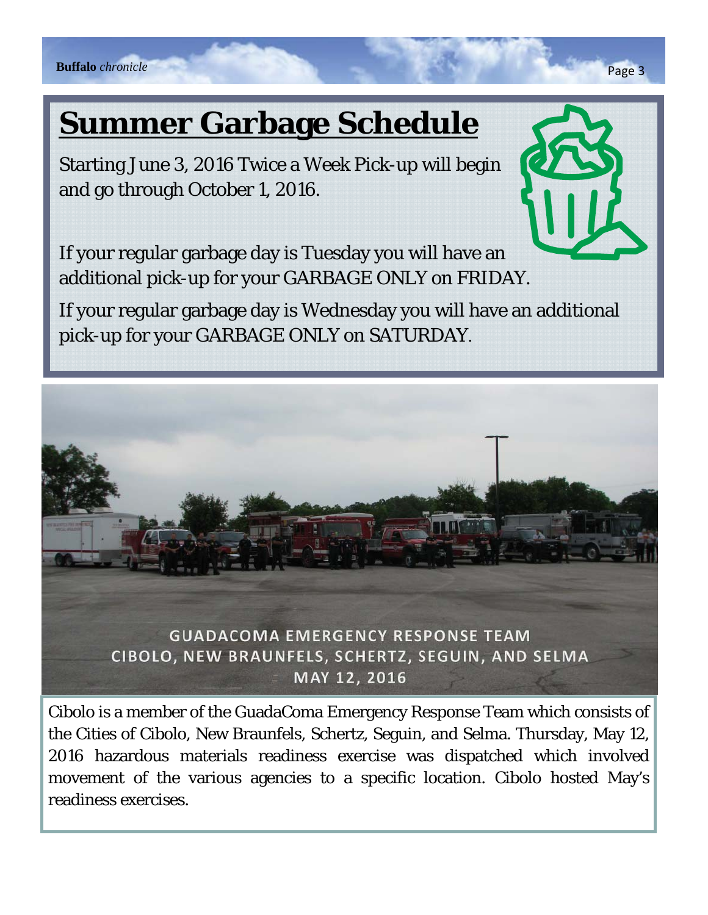# **Summer Garbage Schedule**

Starting June 3, 2016 Twice a Week Pick-up will begin and go through October 1, 2016.



If your regular garbage day is Tuesday you will have an additional pick-up for your GARBAGE ONLY on FRIDAY.

If your regular garbage day is Wednesday you will have an additional pick-up for your GARBAGE ONLY on SATURDAY.



Cibolo is a member of the GuadaComa Emergency Response Team which consists of the Cities of Cibolo, New Braunfels, Schertz, Seguin, and Selma. Thursday, May 12, 2016 hazardous materials readiness exercise was dispatched which involved movement of the various agencies to a specific location. Cibolo hosted May's readiness exercises.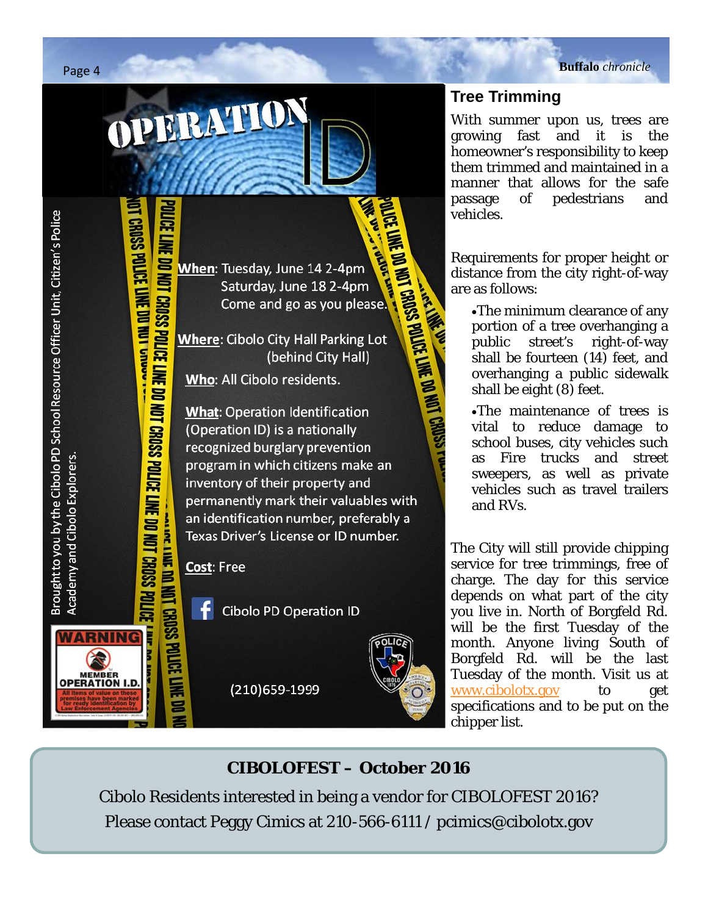POLICE LINE DO NOT CROSS POLICE LINE DO NOT CROSS POLICE LINE DO NOT CROSS POLICE .<br>POLICE LINE DO NOT CROSS POLICE LINE DO NOT CROSS POLICE LINE DO NOT CROSS POLICE . **THE DESIGNATION** When: Tuesday, June 14 2-4pm Saturday, June 18 2-4pm Come and go as you please. **Where: Cibolo City Hall Parking Lot** (behind City Hall) Who: All Cibolo residents. **What: Operation Identification** (Operation ID) is a nationally

**Collage Of** 

recognized burglary prevention program in which citizens make an inventory of their property and permanently mark their valuables with an identification number, preferably a Texas Driver's License or ID number.

**THE BURGE OF STRAIGHT OF THE DISC SCIENCE FINE DI** Cost: Free

PERATION

-f **Cibolo PD Operation ID** 

(210)659-1999



# **Tree Trimming**

With summer upon us, trees are growing fast and it is the homeowner's responsibility to keep them trimmed and maintained in a manner that allows for the safe vehicles.

Requirements for proper height or distance from the city right-of-way are as follows:

passage of pedestrians and<br>vehicles.<br>
Requirements for proper height or<br>distance from the city right-of-way<br>are as follows:<br>
The minimum clearance of any<br>portion of a tree overhanging a<br>public street's right-of-way<br>shall b The minimum clearance of any portion of a tree overhanging a public street's right-of-way shall be fourteen (14) feet, and overhanging a public sidewalk shall be eight (8) feet.

The maintenance of trees is vital to reduce damage to school buses, city vehicles such as Fire trucks and street sweepers, as well as private vehicles such as travel trailers and RVs.

The City will still provide chipping service for tree trimmings, free of charge. The day for this service depends on what part of the city you live in. North of Borgfeld Rd. will be the first Tuesday of the month. Anyone living South of Borgfeld Rd. will be the last Tuesday of the month. Visit us at www.cibolotx.gov to get specifications and to be put on the chipper list.

# **CIBOLOFEST – October 2016**

Cibolo Residents interested in being a vendor for CIBOLOFEST 2016? Please contact Peggy Cimics at 210-566-6111 / pcimics@cibolotx.gov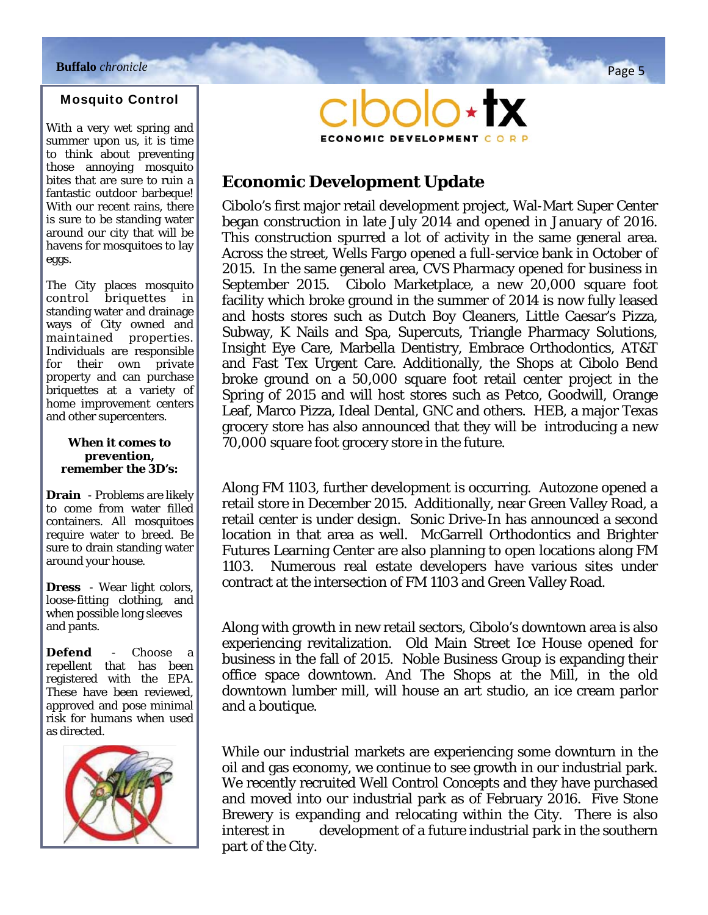## Mosquito Control

With a very wet spring and summer upon us, it is time to think about preventing those annoying mosquito bites that are sure to ruin a fantastic outdoor barbeque! With our recent rains, there is sure to be standing water around our city that will be havens for mosquitoes to lay eggs.

The City places mosquito control briquettes in standing water and drainage ways of City owned and maintained properties. Individuals are responsible for their own private property and can purchase briquettes at a variety of home improvement centers and other supercenters.

### *When it comes to prevention, remember the 3D's:*

**Drain** - Problems are likely to come from water filled containers. All mosquitoes require water to breed. Be sure to drain standing water around your house.

**Dress** - Wear light colors, loose-fitting clothing, and when possible long sleeves and pants.

**Defend** - Choose a repellent that has been registered with the EPA. These have been reviewed, approved and pose minimal risk for humans when used as directed.





## **Economic Development Update**

Cibolo's first major retail development project, Wal-Mart Super Center began construction in late July 2014 and opened in January of 2016. This construction spurred a lot of activity in the same general area. Across the street, Wells Fargo opened a full-service bank in October of 2015. In the same general area, CVS Pharmacy opened for business in September 2015. Cibolo Marketplace, a new 20,000 square foot facility which broke ground in the summer of 2014 is now fully leased and hosts stores such as Dutch Boy Cleaners, Little Caesar's Pizza, Subway, K Nails and Spa, Supercuts, Triangle Pharmacy Solutions, Insight Eye Care, Marbella Dentistry, Embrace Orthodontics, AT&T and Fast Tex Urgent Care. Additionally, the Shops at Cibolo Bend broke ground on a 50,000 square foot retail center project in the Spring of 2015 and will host stores such as Petco, Goodwill, Orange Leaf, Marco Pizza, Ideal Dental, GNC and others. HEB, a major Texas grocery store has also announced that they will be introducing a new 70,000 square foot grocery store in the future.

Along FM 1103, further development is occurring. Autozone opened a retail store in December 2015. Additionally, near Green Valley Road, a retail center is under design. Sonic Drive-In has announced a second location in that area as well. McGarrell Orthodontics and Brighter Futures Learning Center are also planning to open locations along FM 1103. Numerous real estate developers have various sites under contract at the intersection of FM 1103 and Green Valley Road.

Along with growth in new retail sectors, Cibolo's downtown area is also experiencing revitalization. Old Main Street Ice House opened for business in the fall of 2015. Noble Business Group is expanding their office space downtown. And The Shops at the Mill, in the old downtown lumber mill, will house an art studio, an ice cream parlor and a boutique.

While our industrial markets are experiencing some downturn in the oil and gas economy, we continue to see growth in our industrial park. We recently recruited Well Control Concepts and they have purchased and moved into our industrial park as of February 2016. Five Stone Brewery is expanding and relocating within the City. There is also interest in development of a future industrial park in the southern part of the City.